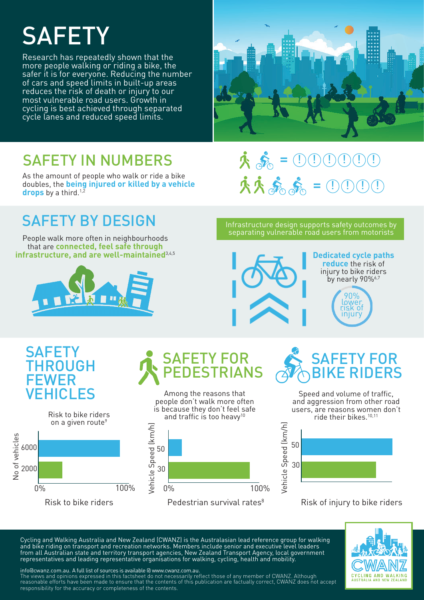# **SAFETY**

Research has repeatedly shown that the more people walking or riding a bike, the safer it is for everyone. Reducing the number of cars and speed limits in built-up areas reduces the risk of death or injury to our most vulnerable road users. Growth in cycling is best achieved through separated cycle lanes and reduced speed limits.



### SAFETY IN NUMBERS

As the amount of people who walk or ride a bike doubles, the **being injured or killed by a vehicle**  drops by a third.<sup>1,2</sup>

### SAFETY BY DESIGN

People walk more often in neighbourhoods that are **connected, feel safe through infrastructure, and are well-maintained**3,4,5



 $= \textcircled{\small{1}} \textcircled{\small{1}} \textcircled{\small{1}} \textcircled{\small{1}} \textcircled{\small{1}}$ 來病 來來義。  $= 0.0001$ 

Infrastructure design supports safety outcomes by separating vulnerable road users from motorists



**Dedicated cycle paths reduce** the risk of injury to bike riders by nearly 90%<sup>6,7</sup>

90% lower risk of injury

### **SAFETY** THROUGH FEWER VEHICLES



Among the reasons that SAFETY FOR PEDESTRIANS



Speed and volume of traffic, SAFETY FOR **E RIDERS** 

and aggression from other road users, are reasons women don't ride their bikes.<sup>10,11</sup>



#### Risk of injury to bike riders

Cycling and Walking Australia and New Zealand (CWANZ) is the Australasian lead reference group for walking and bike riding on transport and recreation networks. Members include senior and executive level leaders from all Australian state and territory transport agencies, New Zealand Transport Agency, local government representatives and leading representative organisations for walking, cycling, health and mobility.



info@cwanz.com.au. A full list of sources is available @ www.cwanz.com.au.

The views and opinions expressed in this factsheet do not necessarily reflect those of any member of CWANZ. Although reasonable efforts have been made to ensure that the contents of this publication are factually correct, CWANZ does not accept responsibility for the accuracy or completeness of the contents.